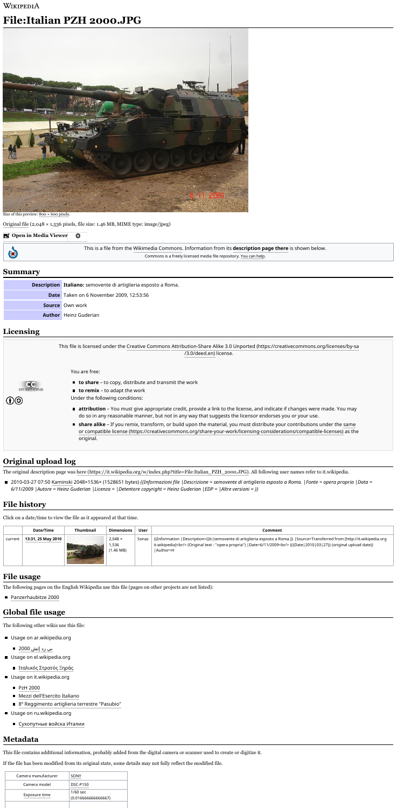### WIKIPEDIA

# **File:Italian PZH 2000.JPG**



Size of this preview: 800 × 600 [pixels.](https://upload.wikimedia.org/wikipedia/commons/thumb/1/1e/Italian_PZH_2000.JPG/800px-Italian_PZH_2000.JPG)

[Original](https://upload.wikimedia.org/wikipedia/commons/1/1e/Italian_PZH_2000.JPG) file (2,048 × 1,536 pixels, file size: 1.46 MB, MIME type: image/jpeg)

This is a file from the [Wikimedia](https://commons.wikimedia.org/wiki/Main_Page) Commons. Information from its **[description](https://commons.wikimedia.org/wiki/File:Italian_PZH_2000.JPG) page there** is shown below.

Commons is a freely licensed media file repository. You can [help.](https://commons.wikimedia.org/wiki/Commons:Welcome)

**Description Italiano:** semovente di artiglieria esposto a Roma.

**Date** Taken on 6 November 2009, 12:53:56

**Source** Own work

**Author** Heinz Guderian



- Usage on ar.wikipedia.org
	- بي زد إتش [2000](https://ar.wikipedia.org/wiki/%D8%A8%D9%8A_%D8%B2%D8%AF_%D8%A5%D8%AA%D8%B4_2000)
- Usage on el.wikipedia.org
	- **■** [Ιταλικός](https://el.wikipedia.org/wiki/%CE%99%CF%84%CE%B1%CE%BB%CE%B9%CE%BA%CF%8C%CF%82_%CE%A3%CF%84%CF%81%CE%B1%CF%84%CF%8C%CF%82_%CE%9E%CE%B7%CF%81%CE%AC%CF%82) Στρατός Ξηράς
- Usage on it.wikipedia.org
	- **PzH [2000](https://it.wikipedia.org/wiki/PzH_2000)**
	- Mezzi [dell'Esercito](https://it.wikipedia.org/wiki/Mezzi_dell%27Esercito_Italiano) Italiano
	- 8º [Reggimento](https://it.wikipedia.org/wiki/8%C2%BA_Reggimento_artiglieria_terrestre_%22Pasubio%22) artiglieria terrestre "Pasubio"
- Usage on ru.wikipedia.org
	- [Сухопутные](https://ru.wikipedia.org/wiki/%D0%A1%D1%83%D1%85%D0%BE%D0%BF%D1%83%D1%82%D0%BD%D1%8B%D0%B5_%D0%B2%D0%BE%D0%B9%D1%81%D0%BA%D0%B0_%D0%98%D1%82%D0%B0%D0%BB%D0%B8%D0%B8) войска Италии

The original description page was here [\(https://it.wikipedia.org/w/index.php?title=File:Italian\\_PZH\\_2000.JPG\).](https://it.wikipedia.org/w/index.php?title=File:Italian_PZH_2000.JPG) All following user names refer to it.wikipedia.

■ 2010-03-27 07:50 [Kaminski](https://it.wikipedia.org/wiki/User:Kaminski) 2048×1536× (1528651 bytes) {{Informazioni file | Descrizione = semovente di artiglieria esposto a Roma. | Fonte = opera propria | Data = 6/11/2009 | Autore = Heinz Guderian | Licenza = | Detentore copyright = Heinz Guderian | EDP = | Altre versioni = }}

**Open in Media [Viewer](https://upload.wikimedia.org/wikipedia/commons/1/1e/Italian_PZH_2000.JPG)** ۰



Click on a date/time to view the file as it appeared at that time.

|         | Date/Time          | Thumbnaiı | <b>Dimensions</b>       | <b>User</b> | Comment                                                                                                                                                                                                                                                        |
|---------|--------------------|-----------|-------------------------|-------------|----------------------------------------------------------------------------------------------------------------------------------------------------------------------------------------------------------------------------------------------------------------|
| current | 13:31, 25 May 2010 |           | $2,048 \times$<br>1,536 | Sonaz       | $\mid$ {{Information  Description={{it semovente di artiglieria esposto a Roma.}}  Source=Transferred from [http://it.wikipedia.org<br>it.wikipedia]<br>(Original text : "opera propria")  Date=6/11/2009<br>kr/> ({{Date 2010 03 27}} (original upload date)) |
|         |                    |           | $(1.46 \text{ MB})$     |             | Author=H                                                                                                                                                                                                                                                       |

|  | <b>PASS</b> | . <del>.</del> |  |
|--|-------------|----------------|--|
|--|-------------|----------------|--|

The following pages on the English Wikipedia use this file (pages on other projects are not listed):

■ [Panzerhaubitze](https://en.wikipedia.org/wiki/Panzerhaubitze_2000) 2000

The following other wikis use this file:

This file contains additional information, probably added from the digital camera or scanner used to create or digitize it.

If the file has been modified from its original state, some details may not fully reflect the modified file.

| Camera manufacturer | SONY                             |  |  |
|---------------------|----------------------------------|--|--|
| Camera model        | <b>DSC-P150</b>                  |  |  |
| Exposure time       | $1/60$ sec<br>(0.01666666666667) |  |  |
|                     |                                  |  |  |

#### **Summary**

# **Licensing**

# **Original upload log**

# **File history**

#### **File usage**

### **Global file usage**

## **Metadata**